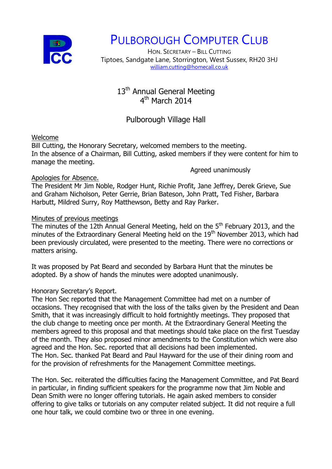

# PULBOROUGH COMPUTER CLUB

HON. SECRETARY – BILL CUTTING Tiptoes, Sandgate Lane, Storrington, West Sussex, RH20 3HJ [william.cutting@homecall.co.uk](mailto:william.cutting@homecall.co.uk)

# 13<sup>th</sup> Annual General Meeting 4<sup>th</sup> March 2014

# Pulborough Village Hall

#### Welcome

Bill Cutting, the Honorary Secretary, welcomed members to the meeting. In the absence of a Chairman, Bill Cutting, asked members if they were content for him to manage the meeting.

#### Agreed unanimously

## Apologies for Absence.

The President Mr Jim Noble, Rodger Hunt, Richie Profit, Jane Jeffrey, Derek Grieve, Sue and Graham Nicholson, Peter Gerrie, Brian Bateson, John Pratt, Ted Fisher, Barbara Harbutt, Mildred Surry, Roy Matthewson, Betty and Ray Parker.

## Minutes of previous meetings

The minutes of the 12th Annual General Meeting, held on the 5<sup>th</sup> February 2013, and the minutes of the Extraordinary General Meeting held on the 19<sup>th</sup> November 2013, which had been previously circulated, were presented to the meeting. There were no corrections or matters arising.

It was proposed by Pat Beard and seconded by Barbara Hunt that the minutes be adopted. By a show of hands the minutes were adopted unanimously.

## Honorary Secretary's Report.

The Hon Sec reported that the Management Committee had met on a number of occasions. They recognised that with the loss of the talks given by the President and Dean Smith, that it was increasingly difficult to hold fortnightly meetings. They proposed that the club change to meeting once per month. At the Extraordinary General Meeting the members agreed to this proposal and that meetings should take place on the first Tuesday of the month. They also proposed minor amendments to the Constitution which were also agreed and the Hon. Sec. reported that all decisions had been implemented. The Hon. Sec. thanked Pat Beard and Paul Hayward for the use of their dining room and for the provision of refreshments for the Management Committee meetings.

The Hon. Sec. reiterated the difficulties facing the Management Committee, and Pat Beard in particular, in finding sufficient speakers for the programme now that Jim Noble and Dean Smith were no longer offering tutorials. He again asked members to consider offering to give talks or tutorials on any computer related subject. It did not require a full one hour talk, we could combine two or three in one evening.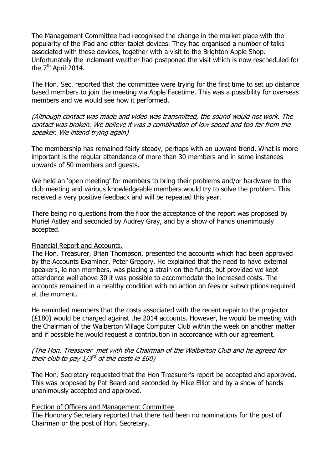The Management Committee had recognised the change in the market place with the popularity of the iPad and other tablet devices. They had organised a number of talks associated with these devices, together with a visit to the Brighton Apple Shop. Unfortunately the inclement weather had postponed the visit which is now rescheduled for the  $7<sup>th</sup>$  April 2014.

The Hon. Sec. reported that the committee were trying for the first time to set up distance based members to join the meeting via Apple Facetime. This was a possibility for overseas members and we would see how it performed.

(Although contact was made and video was transmitted, the sound would not work. The contact was broken. We believe it was a combination of low speed and too far from the speaker. We intend trying again)

The membership has remained fairly steady, perhaps with an upward trend. What is more important is the regular attendance of more than 30 members and in some instances upwards of 50 members and guests.

We held an 'open meeting' for members to bring their problems and/or hardware to the club meeting and various knowledgeable members would try to solve the problem. This received a very positive feedback and will be repeated this year.

There being no questions from the floor the acceptance of the report was proposed by Muriel Astley and seconded by Audrey Gray, and by a show of hands unanimously accepted.

#### Financial Report and Accounts.

The Hon. Treasurer, Brian Thompson, presented the accounts which had been approved by the Accounts Examiner, Peter Gregory. He explained that the need to have external speakers, ie non members, was placing a strain on the funds, but provided we kept attendance well above 30 it was possible to accommodate the increased costs. The accounts remained in a healthy condition with no action on fees or subscriptions required at the moment.

He reminded members that the costs associated with the recent repair to the projector (£180) would be charged against the 2014 accounts. However, he would be meeting with the Chairman of the Walberton Village Computer Club within the week on another matter and if possible he would request a contribution in accordance with our agreement.

(The Hon. Treasurer met with the Chairman of the Walberton Club and he agreed for their club to pay 1/3 $^{\prime\prime}$  of the costs ie £60)

The Hon. Secretary requested that the Hon Treasurer's report be accepted and approved. This was proposed by Pat Beard and seconded by Mike Elliot and by a show of hands unanimously accepted and approved.

#### Election of Officers and Management Committee

The Honorary Secretary reported that there had been no nominations for the post of Chairman or the post of Hon. Secretary.